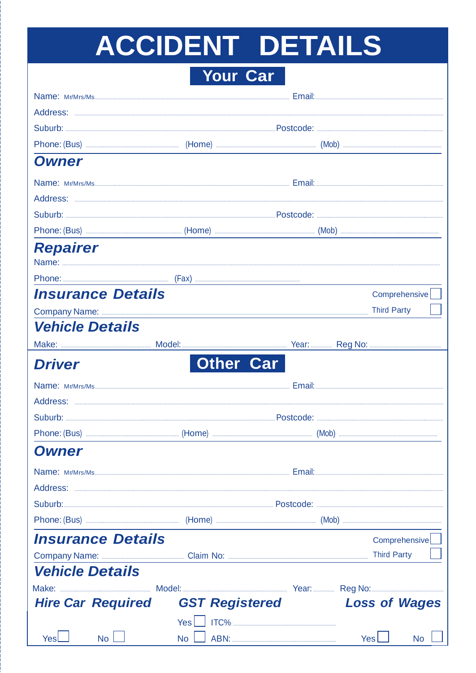# ACCIDENT DETAILS

Your Car

| <b>Owner</b>             |                          |                       |  |                      |               |
|--------------------------|--------------------------|-----------------------|--|----------------------|---------------|
|                          |                          |                       |  |                      |               |
|                          |                          |                       |  |                      |               |
|                          |                          |                       |  |                      |               |
|                          |                          |                       |  |                      |               |
| <b>Repairer</b>          |                          |                       |  |                      |               |
|                          |                          |                       |  |                      |               |
|                          |                          |                       |  |                      |               |
|                          | <b>Insurance Details</b> |                       |  |                      | Comprehensive |
|                          |                          |                       |  | <b>Third Party</b>   |               |
| <b>Vehicle Details</b>   |                          |                       |  |                      |               |
|                          |                          |                       |  |                      |               |
| <b>Driver</b>            |                          | <b>Other Car</b>      |  |                      |               |
|                          |                          |                       |  |                      |               |
|                          |                          |                       |  |                      |               |
|                          |                          |                       |  |                      |               |
|                          |                          |                       |  |                      |               |
| <b>Owner</b>             |                          |                       |  |                      |               |
|                          |                          |                       |  |                      |               |
|                          |                          |                       |  |                      |               |
|                          |                          |                       |  |                      |               |
|                          |                          |                       |  |                      |               |
| <b>Insurance Details</b> |                          |                       |  |                      | Comprehensive |
|                          |                          |                       |  | <b>Third Party</b>   |               |
| <b>Vehicle Details</b>   |                          |                       |  |                      |               |
|                          |                          |                       |  |                      |               |
|                          | <b>Hire Car Required</b> | <b>GST Registered</b> |  | <b>Loss of Wages</b> |               |
|                          |                          | Yes                   |  |                      |               |
| Yesl                     | No l                     | No                    |  | <b>Yes</b>           | <b>No</b>     |